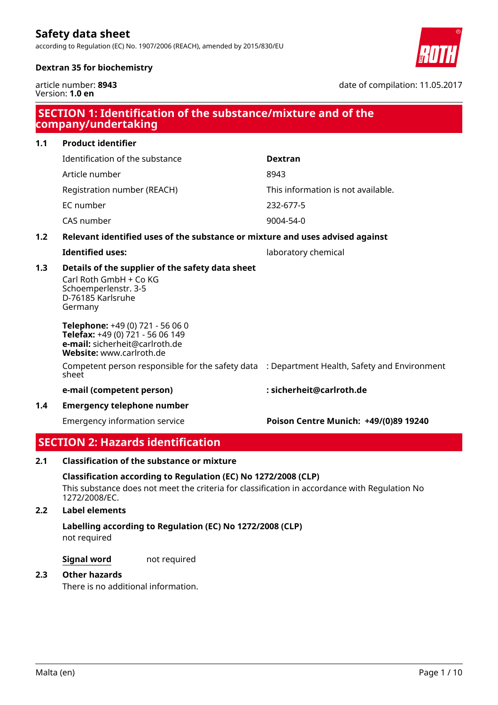according to Regulation (EC) No. 1907/2006 (REACH), amended by 2015/830/EU



date of compilation: 11.05.2017

# **Dextran 35 for biochemistry**

article number: **8943** Version: **1.0 en**

| SECTION 1: Identification of the substance/mixture and of the<br>company/undertaking |                                                                                                                                    |                                       |  |
|--------------------------------------------------------------------------------------|------------------------------------------------------------------------------------------------------------------------------------|---------------------------------------|--|
| 1.1                                                                                  | <b>Product identifier</b>                                                                                                          |                                       |  |
|                                                                                      | Identification of the substance                                                                                                    | <b>Dextran</b>                        |  |
|                                                                                      | Article number                                                                                                                     | 8943                                  |  |
|                                                                                      | Registration number (REACH)                                                                                                        | This information is not available.    |  |
|                                                                                      | EC number                                                                                                                          | 232-677-5                             |  |
|                                                                                      | CAS number                                                                                                                         | 9004-54-0                             |  |
| 1.2                                                                                  | Relevant identified uses of the substance or mixture and uses advised against                                                      |                                       |  |
|                                                                                      | <b>Identified uses:</b>                                                                                                            | laboratory chemical                   |  |
| 1.3                                                                                  | Details of the supplier of the safety data sheet<br>Carl Roth GmbH + Co KG<br>Schoemperlenstr. 3-5<br>D-76185 Karlsruhe<br>Germany |                                       |  |
|                                                                                      | Telephone: +49 (0) 721 - 56 06 0<br>Telefax: +49 (0) 721 - 56 06 149<br>e-mail: sicherheit@carlroth.de<br>Website: www.carlroth.de |                                       |  |
|                                                                                      | Competent person responsible for the safety data : Department Health, Safety and Environment<br>sheet                              |                                       |  |
|                                                                                      | e-mail (competent person)                                                                                                          | : sicherheit@carlroth.de              |  |
| 1.4                                                                                  | <b>Emergency telephone number</b>                                                                                                  |                                       |  |
|                                                                                      | <b>Emergency information service</b>                                                                                               | Poison Centre Munich: +49/(0)89 19240 |  |
|                                                                                      | <b>SECTION 2: Hazards identification</b>                                                                                           |                                       |  |

# **2.1 Classification of the substance or mixture**

## **Classification according to Regulation (EC) No 1272/2008 (CLP)**

This substance does not meet the criteria for classification in accordance with Regulation No 1272/2008/EC.

## **2.2 Label elements**

not required **Labelling according to Regulation (EC) No 1272/2008 (CLP)**

**Signal word** not required

# **2.3 Other hazards**

There is no additional information.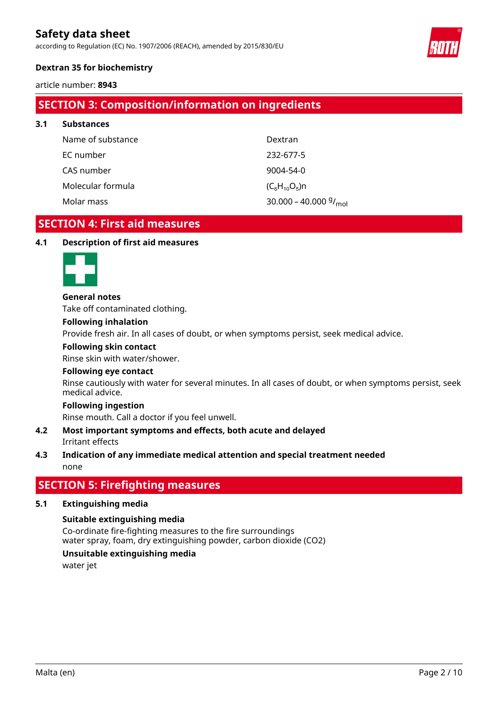according to Regulation (EC) No. 1907/2006 (REACH), amended by 2015/830/EU



# **Dextran 35 for biochemistry**

article number: **8943**

# **SECTION 3: Composition/information on ingredients**

| 3.1 | <b>Substances</b> |                                              |
|-----|-------------------|----------------------------------------------|
|     | Name of substance | Dextran                                      |
|     | EC number         | 232-677-5                                    |
|     | CAS number        | 9004-54-0                                    |
|     | Molecular formula | $(C_6H_{10}O_5)n$                            |
|     | Molar mass        | 30.000 - 40.000 $\frac{9}{1}$ <sub>mol</sub> |

# **SECTION 4: First aid measures**

## **4.1 Description of first aid measures**



#### **General notes**

Take off contaminated clothing.

#### **Following inhalation**

Provide fresh air. In all cases of doubt, or when symptoms persist, seek medical advice.

#### **Following skin contact**

Rinse skin with water/shower.

## **Following eye contact**

Rinse cautiously with water for several minutes. In all cases of doubt, or when symptoms persist, seek medical advice.

#### **Following ingestion**

Rinse mouth. Call a doctor if you feel unwell.

## Irritant effects **4.2 Most important symptoms and effects, both acute and delayed**

# none **4.3 Indication of any immediate medical attention and special treatment needed**

# **SECTION 5: Firefighting measures**

## **5.1 Extinguishing media**

## **Suitable extinguishing media**

Co-ordinate fire-fighting measures to the fire surroundings water spray, foam, dry extinguishing powder, carbon dioxide (CO2)

# **Unsuitable extinguishing media**

water jet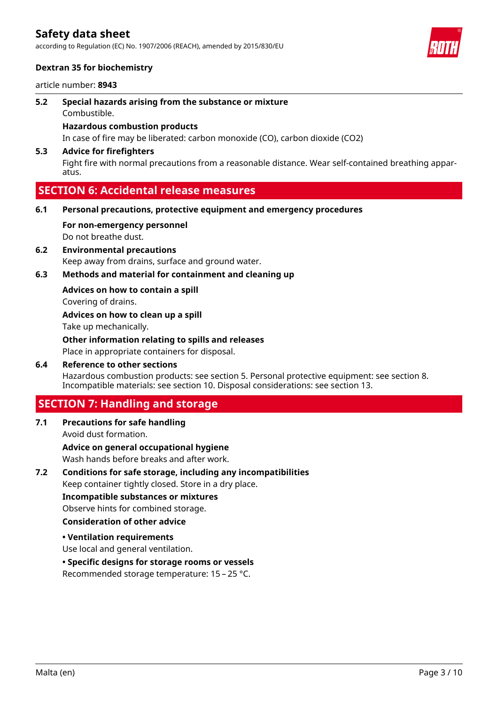according to Regulation (EC) No. 1907/2006 (REACH), amended by 2015/830/EU



# **Dextran 35 for biochemistry**

article number: **8943**

Combustible. **5.2 Special hazards arising from the substance or mixture**

# **Hazardous combustion products**

In case of fire may be liberated: carbon monoxide (CO), carbon dioxide (CO2)

# **5.3 Advice for firefighters**

Fight fire with normal precautions from a reasonable distance. Wear self-contained breathing apparatus.

# **SECTION 6: Accidental release measures**

- **6.1 Personal precautions, protective equipment and emergency procedures**
	- Do not breathe dust. **For non-emergency personnel**
- Keep away from drains, surface and ground water. **6.2 Environmental precautions**
- **6.3 Methods and material for containment and cleaning up**

**Advices on how to contain a spill**

Covering of drains.

Take up mechanically. **Advices on how to clean up a spill**

Place in appropriate containers for disposal. **Other information relating to spills and releases**

Hazardous combustion products: see section 5. Personal protective equipment: see section 8. Incompatible materials: see section 10. Disposal considerations: see section 13. **6.4 Reference to other sections**

# **SECTION 7: Handling and storage**

Avoid dust formation. **7.1 Precautions for safe handling**

Wash hands before breaks and after work. **Advice on general occupational hygiene**

Keep container tightly closed. Store in a dry place. **7.2 Conditions for safe storage, including any incompatibilities**

**Incompatible substances or mixtures**

Observe hints for combined storage.

# **Consideration of other advice**

**• Ventilation requirements**

Use local and general ventilation.

## **• Specific designs for storage rooms or vessels**

Recommended storage temperature: 15 – 25 °C.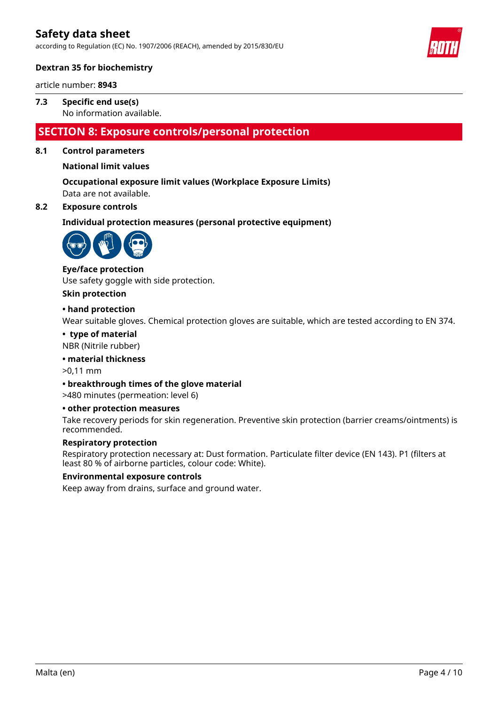according to Regulation (EC) No. 1907/2006 (REACH), amended by 2015/830/EU



# **Dextran 35 for biochemistry**

article number: **8943**

## No information available. **7.3 Specific end use(s)**

# **SECTION 8: Exposure controls/personal protection**

# **8.1 Control parameters**

# **National limit values**

Data are not available. **Occupational exposure limit values (Workplace Exposure Limits)**

# **8.2 Exposure controls**

**Individual protection measures (personal protective equipment)**



# **Eye/face protection**

Use safety goggle with side protection.

#### **Skin protection**

## **• hand protection**

Wear suitable gloves. Chemical protection gloves are suitable, which are tested according to EN 374.

#### **• type of material**

NBR (Nitrile rubber)

## **• material thickness**

>0,11 mm

## **• breakthrough times of the glove material**

>480 minutes (permeation: level 6)

## **• other protection measures**

Take recovery periods for skin regeneration. Preventive skin protection (barrier creams/ointments) is recommended.

## **Respiratory protection**

Respiratory protection necessary at: Dust formation. Particulate filter device (EN 143). P1 (filters at least 80 % of airborne particles, colour code: White).

## **Environmental exposure controls**

Keep away from drains, surface and ground water.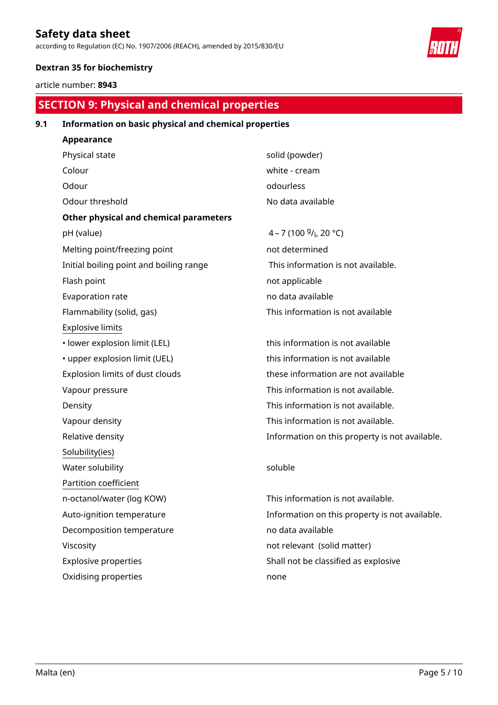according to Regulation (EC) No. 1907/2006 (REACH), amended by 2015/830/EU



# **Dextran 35 for biochemistry**

article number: **8943**

# **SECTION 9: Physical and chemical properties**

# **9.1 Information on basic physical and chemical properties**

| <b>Appearance</b>                             |                     |
|-----------------------------------------------|---------------------|
| Physical state                                | solid (powder)      |
| Colour                                        | white - cream       |
| Odour                                         | odourless           |
| Odour threshold                               | No data available   |
| <b>Other physical and chemical parameters</b> |                     |
| pH (value)                                    | $4 - 7(1009/1, 20°$ |
| Melting point/freezing point                  | not determined      |
| Initial boiling point and boiling range       | This information    |
| Flash point                                   | not applicable      |
| Evaporation rate                              | no data available   |
| Flammability (solid, gas)                     | This information    |
| <b>Explosive limits</b>                       |                     |
| · lower explosion limit (LEL)                 | this information i  |
| • upper explosion limit (UEL)                 | this information i  |
| Explosion limits of dust clouds               | these information   |
| Vapour pressure                               | This information    |
| Density                                       | This information    |
| Vapour density                                | This information    |
| Relative density                              | Information on th   |
| Solubility(ies)                               |                     |
| Water solubility                              | soluble             |
| Partition coefficient                         |                     |
| n-octanol/water (log KOW)                     | This information    |
| Auto-ignition temperature                     | Information on th   |
| Decomposition temperature                     | no data available   |
| Viscosity                                     | not relevant (soli  |
| <b>Explosive properties</b>                   | Shall not be class  |
| Oxidising properties                          | none                |
|                                               |                     |

 $20^{\circ}$ C) on is not available. on is not available

 $\mathsf{on}$  is not available  $\mathfrak m$  is not available tion are not available on is not available. on is not available. on is not available. n this property is not available.

on is not available. n this property is not available. olid matter) assified as explosive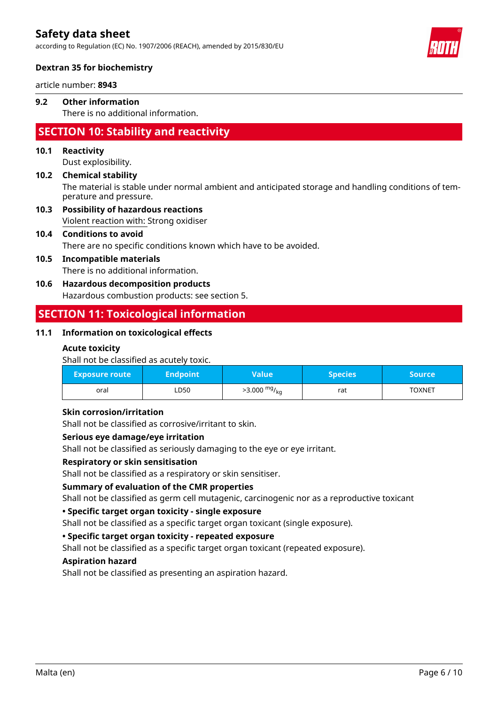according to Regulation (EC) No. 1907/2006 (REACH), amended by 2015/830/EU



# **Dextran 35 for biochemistry**

article number: **8943**

# **9.2 Other information**

There is no additional information.

# **SECTION 10: Stability and reactivity**

# **10.1 Reactivity**

Dust explosibility.

# The material is stable under normal ambient and anticipated storage and handling conditions of temperature and pressure. **10.2 Chemical stability**

Violent reaction with: Strong oxidiser **10.3 Possibility of hazardous reactions**

# **10.4 Conditions to avoid**

There are no specific conditions known which have to be avoided.

# **10.5 Incompatible materials**

There is no additional information.

# **10.6 Hazardous decomposition products**

Hazardous combustion products: see section 5.

# **SECTION 11: Toxicological information**

## **11.1 Information on toxicological effects**

# **Acute toxicity**

Shall not be classified as acutely toxic.

| <b>Exposure route</b> | Endpoint <b>b</b> | Value                  | <b>Species</b> ' | Source        |
|-----------------------|-------------------|------------------------|------------------|---------------|
| oral                  | ∟D50              | $>3.000 \frac{mg}{kg}$ | rat              | <b>TOXNET</b> |

# **Skin corrosion/irritation**

Shall not be classified as corrosive/irritant to skin.

## **Serious eye damage/eye irritation**

Shall not be classified as seriously damaging to the eye or eye irritant.

## **Respiratory or skin sensitisation**

Shall not be classified as a respiratory or skin sensitiser.

## **Summary of evaluation of the CMR properties**

Shall not be classified as germ cell mutagenic, carcinogenic nor as a reproductive toxicant

# **• Specific target organ toxicity - single exposure**

Shall not be classified as a specific target organ toxicant (single exposure).

## **• Specific target organ toxicity - repeated exposure**

Shall not be classified as a specific target organ toxicant (repeated exposure).

## **Aspiration hazard**

Shall not be classified as presenting an aspiration hazard.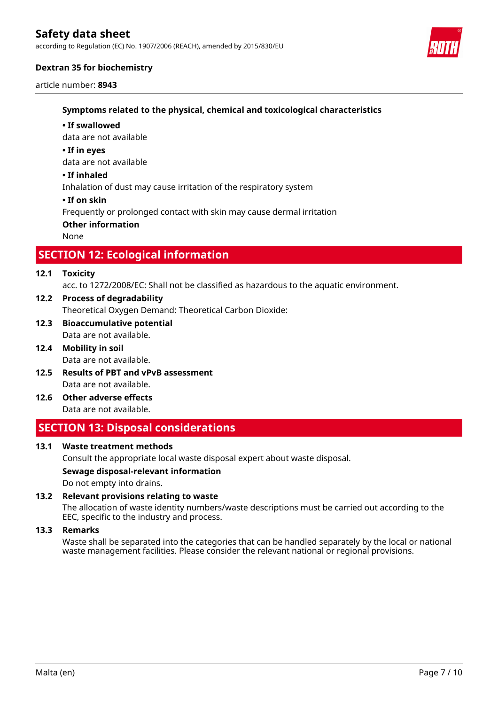according to Regulation (EC) No. 1907/2006 (REACH), amended by 2015/830/EU



# **Dextran 35 for biochemistry**

article number: **8943**

# **Symptoms related to the physical, chemical and toxicological characteristics**

#### **• If swallowed**

data are not available

#### **• If in eyes**

data are not available

## **• If inhaled**

Inhalation of dust may cause irritation of the respiratory system

#### **• If on skin**

Frequently or prolonged contact with skin may cause dermal irritation

#### **Other information**

None

# **SECTION 12: Ecological information**

# **12.1 Toxicity**

acc. to 1272/2008/EC: Shall not be classified as hazardous to the aquatic environment.

- Theoretical Oxygen Demand: Theoretical Carbon Dioxide: **12.2 Process of degradability**
- Data are not available. **12.3 Bioaccumulative potential**
- Data are not available. **12.4 Mobility in soil**
- Data are not available. **12.5 Results of PBT and vPvB assessment**
- Data are not available. **12.6 Other adverse effects**

# **SECTION 13: Disposal considerations**

## **13.1 Waste treatment methods**

Consult the appropriate local waste disposal expert about waste disposal.

# **Sewage disposal-relevant information**

Do not empty into drains.

## **13.2 Relevant provisions relating to waste**

The allocation of waste identity numbers/waste descriptions must be carried out according to the EEC, specific to the industry and process.

#### **13.3 Remarks**

Waste shall be separated into the categories that can be handled separately by the local or national waste management facilities. Please consider the relevant national or regional provisions.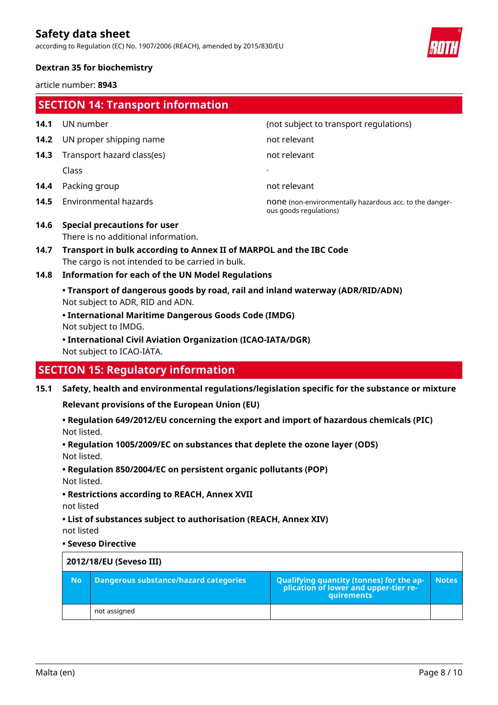according to Regulation (EC) No. 1907/2006 (REACH), amended by 2015/830/EU



# **Dextran 35 for biochemistry**

article number: **8943**

|      | <b>SECTION 14: Transport information</b>                                                                                                                |                                                                                   |  |
|------|---------------------------------------------------------------------------------------------------------------------------------------------------------|-----------------------------------------------------------------------------------|--|
| 14.1 | UN number                                                                                                                                               | (not subject to transport regulations)                                            |  |
| 14.2 | UN proper shipping name                                                                                                                                 | not relevant                                                                      |  |
| 14.3 | Transport hazard class(es)                                                                                                                              | not relevant                                                                      |  |
|      | Class                                                                                                                                                   |                                                                                   |  |
| 14.4 | Packing group                                                                                                                                           | not relevant                                                                      |  |
| 14.5 | Environmental hazards                                                                                                                                   | none (non-environmentally hazardous acc. to the danger-<br>ous goods regulations) |  |
| 14.6 | <b>Special precautions for user</b><br>There is no additional information.                                                                              |                                                                                   |  |
| 14.7 | Transport in bulk according to Annex II of MARPOL and the IBC Code<br>The cargo is not intended to be carried in bulk.                                  |                                                                                   |  |
| 14.8 | <b>Information for each of the UN Model Regulations</b>                                                                                                 |                                                                                   |  |
|      | • Transport of dangerous goods by road, rail and inland waterway (ADR/RID/ADN)<br>Not subject to ADR, RID and ADN.                                      |                                                                                   |  |
|      | • International Maritime Dangerous Goods Code (IMDG)<br>Not subject to IMDG.                                                                            |                                                                                   |  |
|      | • International Civil Aviation Organization (ICAO-IATA/DGR)<br>Not subject to ICAO-IATA.                                                                |                                                                                   |  |
|      | <b>SECTION 15: Regulatory information</b>                                                                                                               |                                                                                   |  |
| 15.1 | Safety, health and environmental regulations/legislation specific for the substance or mixture<br><b>Relevant provisions of the European Union (EU)</b> |                                                                                   |  |

Not listed. **• Regulation 649/2012/EU concerning the export and import of hazardous chemicals (PIC)**

Not listed. **• Regulation 1005/2009/EC on substances that deplete the ozone layer (ODS)**

**• Regulation 850/2004/EC on persistent organic pollutants (POP)**

Not listed.

**• Restrictions according to REACH, Annex XVII**

not listed

not listed **• List of substances subject to authorisation (REACH, Annex XIV)**

#### **• Seveso Directive**

| 2012/18/EU (Seveso III) |                                       |                                                                                                 |              |
|-------------------------|---------------------------------------|-------------------------------------------------------------------------------------------------|--------------|
| <b>No</b>               | Dangerous substance/hazard categories | Qualifying quantity (tonnes) for the ap-<br>plication of lower and upper-tier re-<br>quirements | <b>Notes</b> |
|                         | not assigned                          |                                                                                                 |              |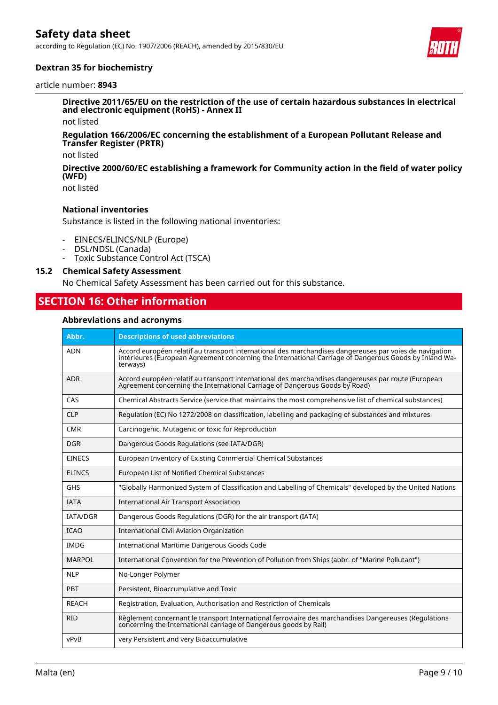according to Regulation (EC) No. 1907/2006 (REACH), amended by 2015/830/EU



# **Dextran 35 for biochemistry**

#### article number: **8943**

**Directive 2011/65/EU on the restriction of the use of certain hazardous substances in electrical and electronic equipment (RoHS) - Annex II**

not listed

#### **Regulation 166/2006/EC concerning the establishment of a European Pollutant Release and Transfer Register (PRTR)**

not listed

#### **Directive 2000/60/EC establishing a framework for Community action in the field of water policy (WFD)**

not listed

# **National inventories**

Substance is listed in the following national inventories:

- EINECS/ELINCS/NLP (Europe)
- DSL/NDSL (Canada)
- Toxic Substance Control Act (TSCA)

# **15.2 Chemical Safety Assessment**

No Chemical Safety Assessment has been carried out for this substance.

# **SECTION 16: Other information**

#### **Abbreviations and acronyms**

| Abbr.           | <b>Descriptions of used abbreviations</b>                                                                                                                                                                                     |
|-----------------|-------------------------------------------------------------------------------------------------------------------------------------------------------------------------------------------------------------------------------|
| <b>ADN</b>      | Accord européen relatif au transport international des marchandises dangereuses par voies de navigation<br>intérieures (European Agreement concerning the International Carriage of Dangerous Goods by Inland Wa-<br>terways) |
| <b>ADR</b>      | Accord européen relatif au transport international des marchandises dangereuses par route (European<br>Agreement concerning the International Carriage of Dangerous Goods by Road)                                            |
| CAS             | Chemical Abstracts Service (service that maintains the most comprehensive list of chemical substances)                                                                                                                        |
| <b>CLP</b>      | Regulation (EC) No 1272/2008 on classification, labelling and packaging of substances and mixtures                                                                                                                            |
| <b>CMR</b>      | Carcinogenic, Mutagenic or toxic for Reproduction                                                                                                                                                                             |
| <b>DGR</b>      | Dangerous Goods Regulations (see IATA/DGR)                                                                                                                                                                                    |
| <b>EINECS</b>   | European Inventory of Existing Commercial Chemical Substances                                                                                                                                                                 |
| <b>ELINCS</b>   | European List of Notified Chemical Substances                                                                                                                                                                                 |
| <b>GHS</b>      | "Globally Harmonized System of Classification and Labelling of Chemicals" developed by the United Nations                                                                                                                     |
| <b>IATA</b>     | <b>International Air Transport Association</b>                                                                                                                                                                                |
| <b>IATA/DGR</b> | Dangerous Goods Regulations (DGR) for the air transport (IATA)                                                                                                                                                                |
| <b>ICAO</b>     | International Civil Aviation Organization                                                                                                                                                                                     |
| <b>IMDG</b>     | International Maritime Dangerous Goods Code                                                                                                                                                                                   |
| <b>MARPOL</b>   | International Convention for the Prevention of Pollution from Ships (abbr. of "Marine Pollutant")                                                                                                                             |
| <b>NLP</b>      | No-Longer Polymer                                                                                                                                                                                                             |
| <b>PBT</b>      | Persistent, Bioaccumulative and Toxic                                                                                                                                                                                         |
| <b>REACH</b>    | Registration, Evaluation, Authorisation and Restriction of Chemicals                                                                                                                                                          |
| <b>RID</b>      | Règlement concernant le transport International ferroviaire des marchandises Dangereuses (Regulations<br>concerning the International carriage of Dangerous goods by Rail)                                                    |
| vPvB            | very Persistent and very Bioaccumulative                                                                                                                                                                                      |